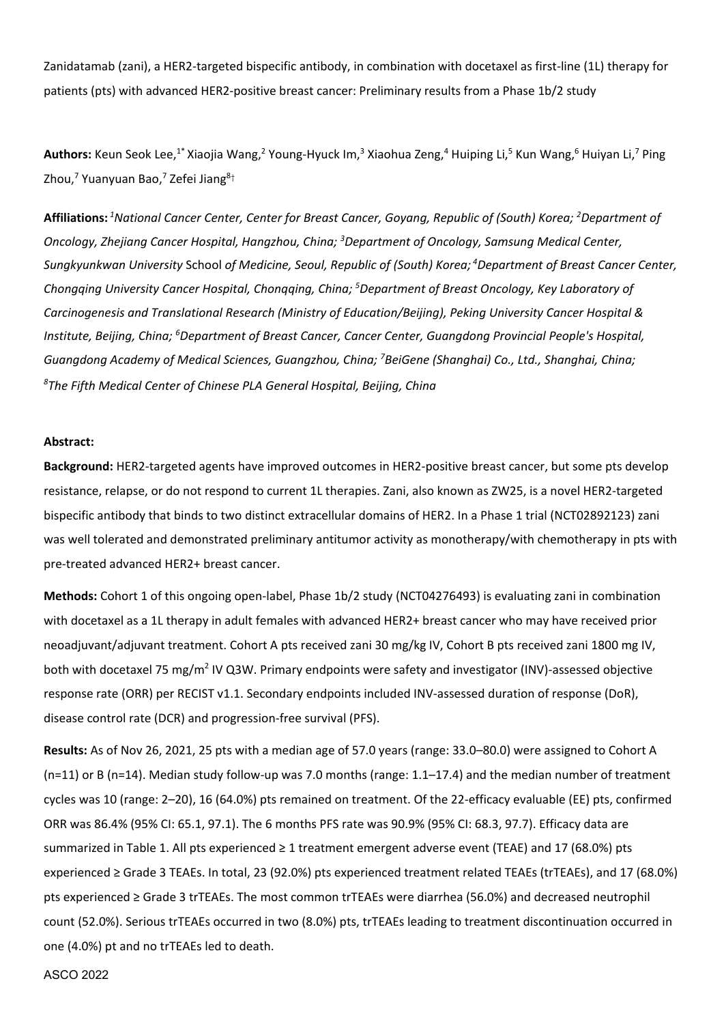Zanidatamab (zani), a HER2-targeted bispecific antibody, in combination with docetaxel as first-line (1L) therapy for patients (pts) with advanced HER2-positive breast cancer: Preliminary results from a Phase 1b/2 study

Authors: Keun Seok Lee,<sup>1\*</sup> Xiaojia Wang,<sup>2</sup> Young-Hyuck Im,<sup>3</sup> Xiaohua Zeng,<sup>4</sup> Huiping Li,<sup>5</sup> Kun Wang,<sup>6</sup> Huiyan Li,<sup>7</sup> Ping Zhou,<sup>7</sup> Yuanyuan Bao,<sup>7</sup> Zefei Jiang<sup>8†</sup>

**Affiliations:** *<sup>1</sup>National Cancer Center, Center for Breast Cancer, Goyang, Republic of (South) Korea; <sup>2</sup>Department of Oncology, Zhejiang Cancer Hospital, Hangzhou, China; <sup>3</sup>Department of Oncology, Samsung Medical Center, Sungkyunkwan University* School *of Medicine, Seoul, Republic of (South) Korea; <sup>4</sup>Department of Breast Cancer Center, Chongqing University Cancer Hospital, Chonqqing, China; <sup>5</sup>Department of Breast Oncology, Key Laboratory of Carcinogenesis and Translational Research (Ministry of Education/Beijing), Peking University Cancer Hospital & Institute, Beijing, China; <sup>6</sup>Department of Breast Cancer, Cancer Center, Guangdong Provincial People's Hospital, Guangdong Academy of Medical Sciences, Guangzhou, China; <sup>7</sup>BeiGene (Shanghai) Co., Ltd., Shanghai, China; 8 The Fifth Medical Center of Chinese PLA General Hospital, Beijing, China* 

## **Abstract:**

**Background:** HER2-targeted agents have improved outcomes in HER2-positive breast cancer, but some pts develop resistance, relapse, or do not respond to current 1L therapies. Zani, also known as ZW25, is a novel HER2-targeted bispecific antibody that binds to two distinct extracellular domains of HER2. In a Phase 1 trial (NCT02892123) zani was well tolerated and demonstrated preliminary antitumor activity as monotherapy/with chemotherapy in pts with pre-treated advanced HER2+ breast cancer.

**Methods:** Cohort 1 of this ongoing open-label, Phase 1b/2 study (NCT04276493) is evaluating zani in combination with docetaxel as a 1L therapy in adult females with advanced HER2+ breast cancer who may have received prior neoadjuvant/adjuvant treatment. Cohort A pts received zani 30 mg/kg IV, Cohort B pts received zani 1800 mg IV, both with docetaxel 75 mg/m<sup>2</sup> IV Q3W. Primary endpoints were safety and investigator (INV)-assessed objective response rate (ORR) per RECIST v1.1. Secondary endpoints included INV-assessed duration of response (DoR), disease control rate (DCR) and progression-free survival (PFS).

**Results:** As of Nov 26, 2021, 25 pts with a median age of 57.0 years (range: 33.0–80.0) were assigned to Cohort A (n=11) or B (n=14). Median study follow-up was 7.0 months (range: 1.1–17.4) and the median number of treatment cycles was 10 (range: 2–20), 16 (64.0%) pts remained on treatment. Of the 22-efficacy evaluable (EE) pts, confirmed ORR was 86.4% (95% CI: 65.1, 97.1). The 6 months PFS rate was 90.9% (95% CI: 68.3, 97.7). Efficacy data are summarized in Table 1. All pts experienced ≥ 1 treatment emergent adverse event (TEAE) and 17 (68.0%) pts experienced ≥ Grade 3 TEAEs. In total, 23 (92.0%) pts experienced treatment related TEAEs (trTEAEs), and 17 (68.0%) pts experienced ≥ Grade 3 trTEAEs. The most common trTEAEs were diarrhea (56.0%) and decreased neutrophil count (52.0%). Serious trTEAEs occurred in two (8.0%) pts, trTEAEs leading to treatment discontinuation occurred in one (4.0%) pt and no trTEAEs led to death.